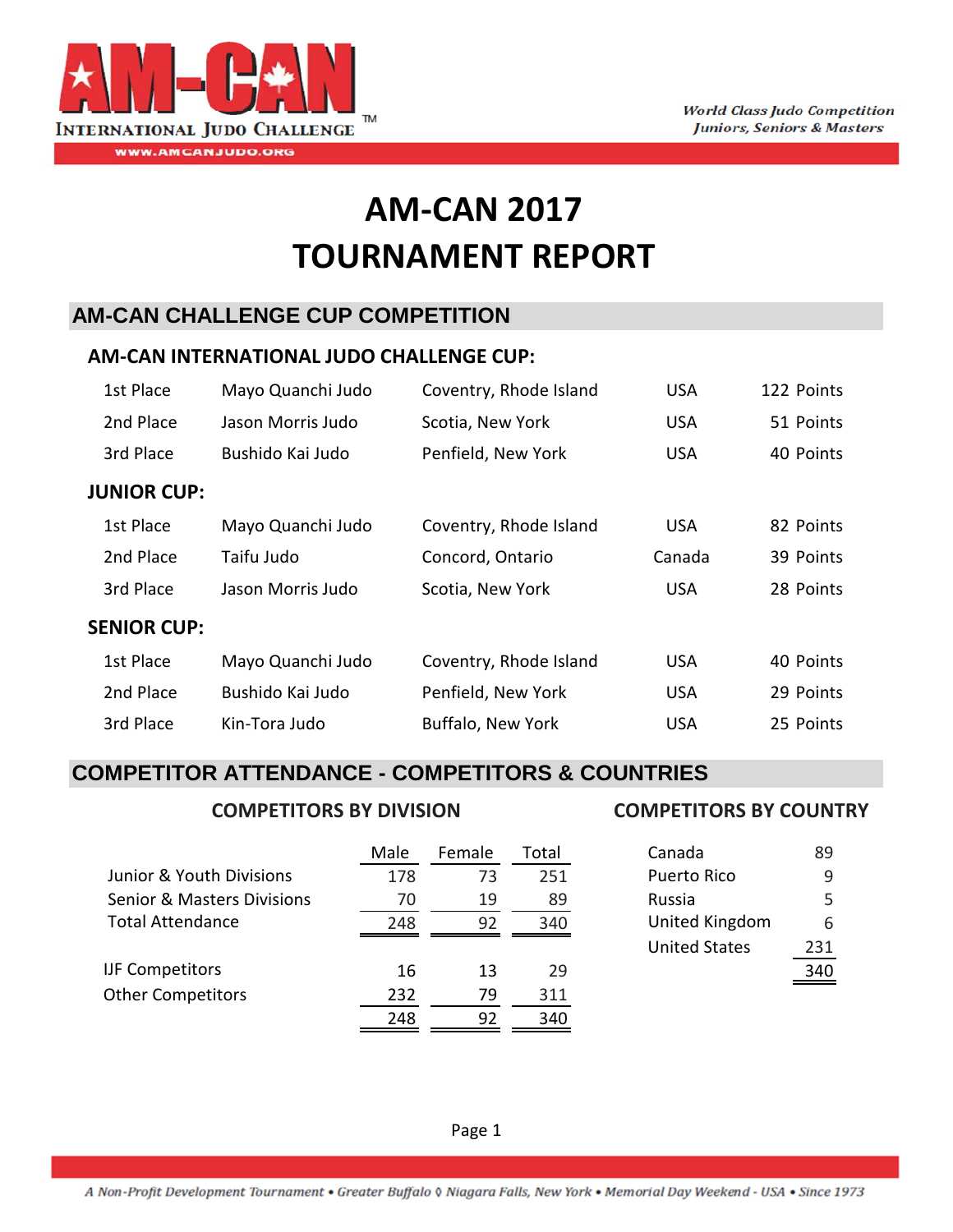

# **AM‐CAN 2017 TOURNAMENT REPORT**

# **AM-CAN CHALLENGE CUP COMPETITION**

### **AM‐CAN INTERNATIONAL JUDO CHALLENGE CUP:**

| 1st Place          | Mayo Quanchi Judo | Coventry, Rhode Island | <b>USA</b> | 122 Points |
|--------------------|-------------------|------------------------|------------|------------|
| 2nd Place          | Jason Morris Judo | Scotia, New York       | <b>USA</b> | 51 Points  |
| 3rd Place          | Bushido Kai Judo  | Penfield, New York     | <b>USA</b> | 40 Points  |
| <b>JUNIOR CUP:</b> |                   |                        |            |            |
| 1st Place          | Mayo Quanchi Judo | Coventry, Rhode Island | <b>USA</b> | 82 Points  |
| 2nd Place          | Taifu Judo        | Concord, Ontario       | Canada     | 39 Points  |
| 3rd Place          | Jason Morris Judo | Scotia, New York       | <b>USA</b> | 28 Points  |
| <b>SENIOR CUP:</b> |                   |                        |            |            |
| 1st Place          | Mayo Quanchi Judo | Coventry, Rhode Island | <b>USA</b> | 40 Points  |
| 2nd Place          | Bushido Kai Judo  | Penfield, New York     | <b>USA</b> | 29 Points  |
| 3rd Place          | Kin-Tora Judo     | Buffalo, New York      | <b>USA</b> | 25 Points  |

## **COMPETITOR ATTENDANCE - COMPETITORS & COUNTRIES**

#### **COMPETITORS BY DIVISION COMPETITORS BY COUNTRY**

|                                       | Male | Female | Total | Canada               | 89  |
|---------------------------------------|------|--------|-------|----------------------|-----|
| Junior & Youth Divisions              | 178  | 73     | 251   | Puerto Rico          | 9   |
| <b>Senior &amp; Masters Divisions</b> | 70   | 19     | 89    | Russia               |     |
| <b>Total Attendance</b>               | 248  | 92     | 340   | United Kingdom       | 6   |
|                                       |      |        |       | <b>United States</b> | 231 |
| <b>IJF Competitors</b>                | 16   | 13     | 29    |                      | 340 |
| <b>Other Competitors</b>              | 232  | 79     | 311   |                      |     |
|                                       | 248  | 92     | 340   |                      |     |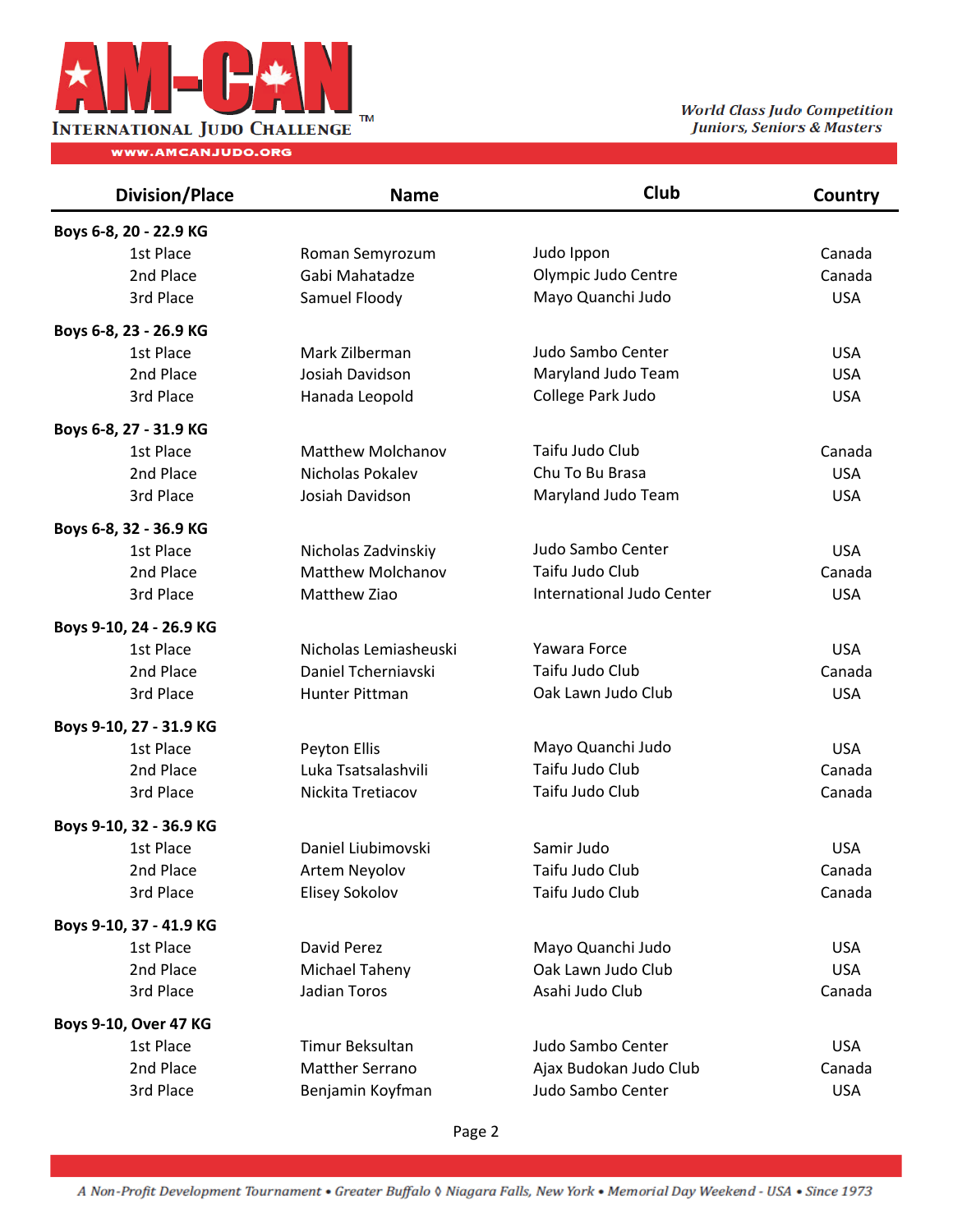

| <b>Division/Place</b>   | <b>Name</b>              | Club                      | Country    |
|-------------------------|--------------------------|---------------------------|------------|
| Boys 6-8, 20 - 22.9 KG  |                          |                           |            |
| 1st Place               | Roman Semyrozum          | Judo Ippon                | Canada     |
| 2nd Place               | Gabi Mahatadze           | Olympic Judo Centre       | Canada     |
| 3rd Place               | Samuel Floody            | Mayo Quanchi Judo         | <b>USA</b> |
| Boys 6-8, 23 - 26.9 KG  |                          |                           |            |
| 1st Place               | Mark Zilberman           | Judo Sambo Center         | <b>USA</b> |
| 2nd Place               | Josiah Davidson          | Maryland Judo Team        | <b>USA</b> |
| 3rd Place               | Hanada Leopold           | College Park Judo         | <b>USA</b> |
| Boys 6-8, 27 - 31.9 KG  |                          |                           |            |
| 1st Place               | <b>Matthew Molchanov</b> | Taifu Judo Club           | Canada     |
| 2nd Place               | Nicholas Pokalev         | Chu To Bu Brasa           | <b>USA</b> |
| 3rd Place               | Josiah Davidson          | Maryland Judo Team        | <b>USA</b> |
| Boys 6-8, 32 - 36.9 KG  |                          |                           |            |
| 1st Place               | Nicholas Zadvinskiy      | Judo Sambo Center         | <b>USA</b> |
| 2nd Place               | <b>Matthew Molchanov</b> | Taifu Judo Club           | Canada     |
| 3rd Place               | Matthew Ziao             | International Judo Center | <b>USA</b> |
| Boys 9-10, 24 - 26.9 KG |                          |                           |            |
| 1st Place               | Nicholas Lemiasheuski    | Yawara Force              | <b>USA</b> |
| 2nd Place               | Daniel Tcherniavski      | Taifu Judo Club           | Canada     |
| 3rd Place               | Hunter Pittman           | Oak Lawn Judo Club        | <b>USA</b> |
| Boys 9-10, 27 - 31.9 KG |                          |                           |            |
| 1st Place               | Peyton Ellis             | Mayo Quanchi Judo         | <b>USA</b> |
| 2nd Place               | Luka Tsatsalashvili      | Taifu Judo Club           | Canada     |
| 3rd Place               | Nickita Tretiacov        | Taifu Judo Club           | Canada     |
| Boys 9-10, 32 - 36.9 KG |                          |                           |            |
| 1st Place               | Daniel Liubimovski       | Samir Judo                | <b>USA</b> |
| 2nd Place               | Artem Neyolov            | Taifu Judo Club           | Canada     |
| 3rd Place               | Elisey Sokolov           | Taifu Judo Club           | Canada     |
| Boys 9-10, 37 - 41.9 KG |                          |                           |            |
| 1st Place               | David Perez              | Mayo Quanchi Judo         | <b>USA</b> |
| 2nd Place               | <b>Michael Taheny</b>    | Oak Lawn Judo Club        | <b>USA</b> |
| 3rd Place               | Jadian Toros             | Asahi Judo Club           | Canada     |
| Boys 9-10, Over 47 KG   |                          |                           |            |
| 1st Place               | Timur Beksultan          | Judo Sambo Center         | <b>USA</b> |
| 2nd Place               | <b>Matther Serrano</b>   | Ajax Budokan Judo Club    | Canada     |
| 3rd Place               | Benjamin Koyfman         | Judo Sambo Center         | <b>USA</b> |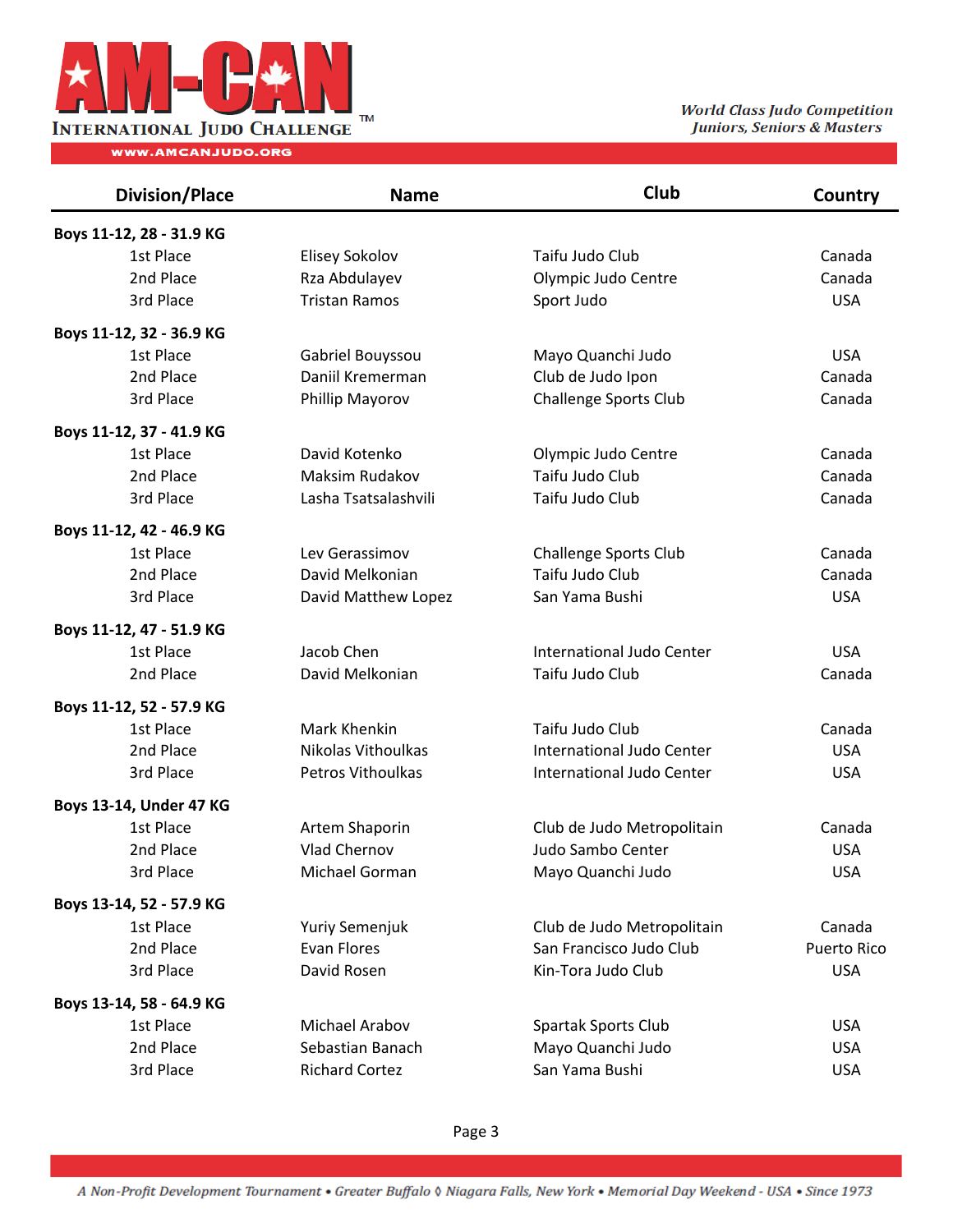

| <b>Division/Place</b>    | <b>Name</b>           | Club                         | Country     |
|--------------------------|-----------------------|------------------------------|-------------|
| Boys 11-12, 28 - 31.9 KG |                       |                              |             |
| 1st Place                | <b>Elisey Sokolov</b> | Taifu Judo Club              | Canada      |
| 2nd Place                | Rza Abdulayev         | Olympic Judo Centre          | Canada      |
| 3rd Place                | <b>Tristan Ramos</b>  | Sport Judo                   | <b>USA</b>  |
| Boys 11-12, 32 - 36.9 KG |                       |                              |             |
| 1st Place                | Gabriel Bouyssou      | Mayo Quanchi Judo            | <b>USA</b>  |
| 2nd Place                | Daniil Kremerman      | Club de Judo Ipon            | Canada      |
| 3rd Place                | Phillip Mayorov       | <b>Challenge Sports Club</b> | Canada      |
| Boys 11-12, 37 - 41.9 KG |                       |                              |             |
| 1st Place                | David Kotenko         | Olympic Judo Centre          | Canada      |
| 2nd Place                | Maksim Rudakov        | Taifu Judo Club              | Canada      |
| 3rd Place                | Lasha Tsatsalashvili  | Taifu Judo Club              | Canada      |
| Boys 11-12, 42 - 46.9 KG |                       |                              |             |
| 1st Place                | Lev Gerassimov        | <b>Challenge Sports Club</b> | Canada      |
| 2nd Place                | David Melkonian       | Taifu Judo Club              | Canada      |
| 3rd Place                | David Matthew Lopez   | San Yama Bushi               | <b>USA</b>  |
| Boys 11-12, 47 - 51.9 KG |                       |                              |             |
| 1st Place                | Jacob Chen            | International Judo Center    | <b>USA</b>  |
| 2nd Place                | David Melkonian       | Taifu Judo Club              | Canada      |
| Boys 11-12, 52 - 57.9 KG |                       |                              |             |
| 1st Place                | Mark Khenkin          | Taifu Judo Club              | Canada      |
| 2nd Place                | Nikolas Vithoulkas    | International Judo Center    | <b>USA</b>  |
| 3rd Place                | Petros Vithoulkas     | International Judo Center    | <b>USA</b>  |
| Boys 13-14, Under 47 KG  |                       |                              |             |
| 1st Place                | Artem Shaporin        | Club de Judo Metropolitain   | Canada      |
| 2nd Place                | Vlad Chernov          | Judo Sambo Center            | <b>USA</b>  |
| 3rd Place                | Michael Gorman        | Mayo Quanchi Judo            | <b>USA</b>  |
| Boys 13-14, 52 - 57.9 KG |                       |                              |             |
| 1st Place                | Yuriy Semenjuk        | Club de Judo Metropolitain   | Canada      |
| 2nd Place                | Evan Flores           | San Francisco Judo Club      | Puerto Rico |
| 3rd Place                | David Rosen           | Kin-Tora Judo Club           | <b>USA</b>  |
| Boys 13-14, 58 - 64.9 KG |                       |                              |             |
| 1st Place                | Michael Arabov        | Spartak Sports Club          | <b>USA</b>  |
| 2nd Place                | Sebastian Banach      | Mayo Quanchi Judo            | <b>USA</b>  |
| 3rd Place                | <b>Richard Cortez</b> | San Yama Bushi               | <b>USA</b>  |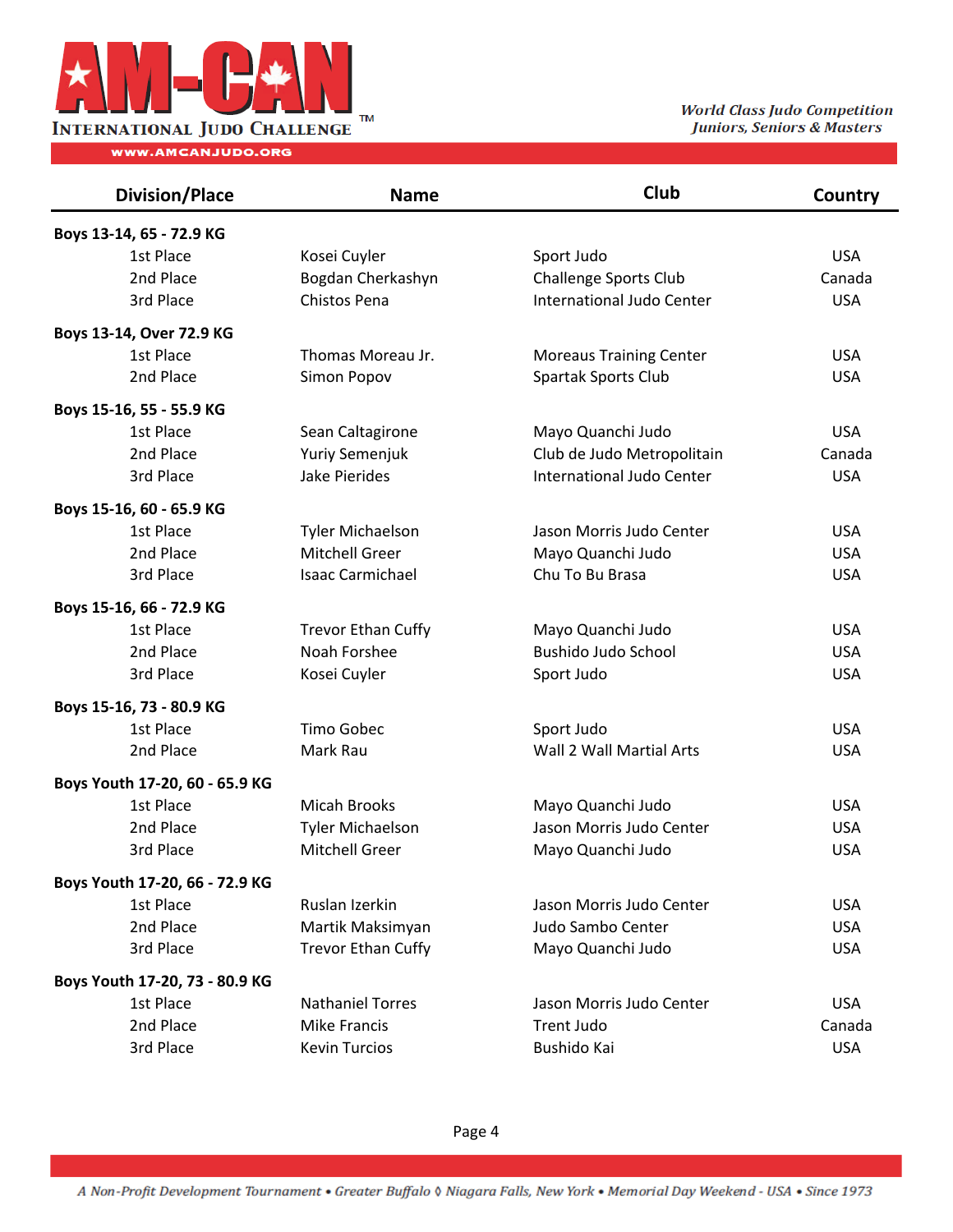

| <b>Division/Place</b>          | <b>Name</b>               | Club                             | Country    |
|--------------------------------|---------------------------|----------------------------------|------------|
| Boys 13-14, 65 - 72.9 KG       |                           |                                  |            |
| 1st Place                      | Kosei Cuyler              | Sport Judo                       | <b>USA</b> |
| 2nd Place                      | Bogdan Cherkashyn         | <b>Challenge Sports Club</b>     | Canada     |
| 3rd Place                      | <b>Chistos Pena</b>       | <b>International Judo Center</b> | <b>USA</b> |
| Boys 13-14, Over 72.9 KG       |                           |                                  |            |
| 1st Place                      | Thomas Moreau Jr.         | <b>Moreaus Training Center</b>   | <b>USA</b> |
| 2nd Place                      | Simon Popov               | Spartak Sports Club              | <b>USA</b> |
| Boys 15-16, 55 - 55.9 KG       |                           |                                  |            |
| 1st Place                      | Sean Caltagirone          | Mayo Quanchi Judo                | <b>USA</b> |
| 2nd Place                      | <b>Yuriy Semenjuk</b>     | Club de Judo Metropolitain       | Canada     |
| 3rd Place                      | <b>Jake Pierides</b>      | International Judo Center        | <b>USA</b> |
| Boys 15-16, 60 - 65.9 KG       |                           |                                  |            |
| 1st Place                      | <b>Tyler Michaelson</b>   | Jason Morris Judo Center         | <b>USA</b> |
| 2nd Place                      | Mitchell Greer            | Mayo Quanchi Judo                | <b>USA</b> |
| 3rd Place                      | <b>Isaac Carmichael</b>   | Chu To Bu Brasa                  | <b>USA</b> |
| Boys 15-16, 66 - 72.9 KG       |                           |                                  |            |
| 1st Place                      | <b>Trevor Ethan Cuffy</b> | Mayo Quanchi Judo                | <b>USA</b> |
| 2nd Place                      | Noah Forshee              | <b>Bushido Judo School</b>       | <b>USA</b> |
| 3rd Place                      | Kosei Cuyler              | Sport Judo                       | <b>USA</b> |
| Boys 15-16, 73 - 80.9 KG       |                           |                                  |            |
| 1st Place                      | <b>Timo Gobec</b>         | Sport Judo                       | <b>USA</b> |
| 2nd Place                      | Mark Rau                  | Wall 2 Wall Martial Arts         | <b>USA</b> |
| Boys Youth 17-20, 60 - 65.9 KG |                           |                                  |            |
| 1st Place                      | <b>Micah Brooks</b>       | Mayo Quanchi Judo                | <b>USA</b> |
| 2nd Place                      | <b>Tyler Michaelson</b>   | Jason Morris Judo Center         | <b>USA</b> |
| 3rd Place                      | <b>Mitchell Greer</b>     | Mayo Quanchi Judo                | <b>USA</b> |
| Boys Youth 17-20, 66 - 72.9 KG |                           |                                  |            |
| 1st Place                      | Ruslan Izerkin            | Jason Morris Judo Center         | <b>USA</b> |
| 2nd Place                      | Martik Maksimyan          | Judo Sambo Center                | <b>USA</b> |
| 3rd Place                      | <b>Trevor Ethan Cuffy</b> | Mayo Quanchi Judo                | <b>USA</b> |
| Boys Youth 17-20, 73 - 80.9 KG |                           |                                  |            |
| 1st Place                      | <b>Nathaniel Torres</b>   | Jason Morris Judo Center         | <b>USA</b> |
| 2nd Place                      | <b>Mike Francis</b>       | <b>Trent Judo</b>                | Canada     |
| 3rd Place                      | <b>Kevin Turcios</b>      | Bushido Kai                      | <b>USA</b> |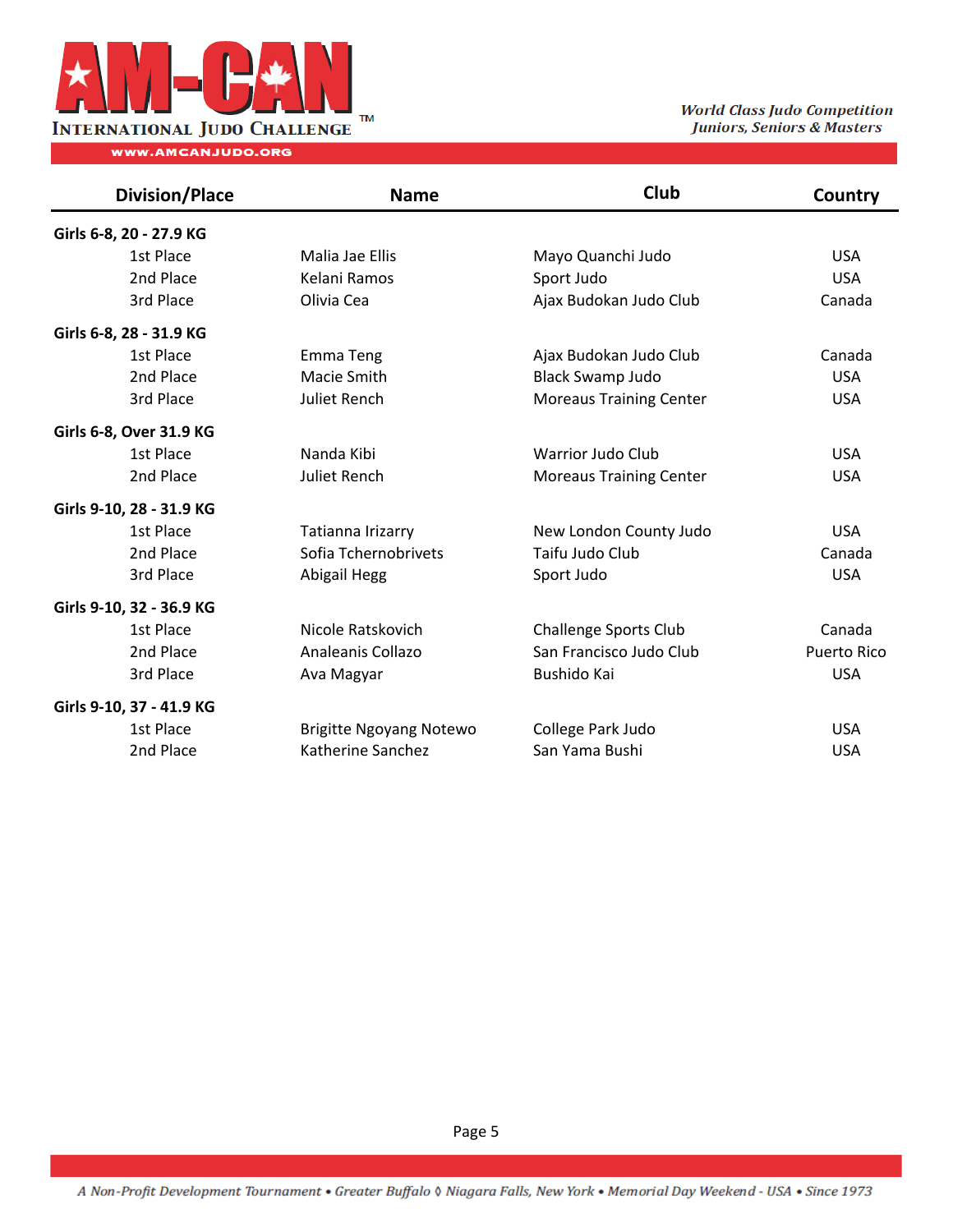

TM TM **THE CLASS THE CLASS THAT CLASS** Judo Competition Juniors, Seniors & Masters

| <b>Division/Place</b>    | <b>Name</b>                    | Club                           | Country     |
|--------------------------|--------------------------------|--------------------------------|-------------|
| Girls 6-8, 20 - 27.9 KG  |                                |                                |             |
| 1st Place                | Malia Jae Ellis                | Mayo Quanchi Judo              | <b>USA</b>  |
| 2nd Place                | Kelani Ramos                   | Sport Judo                     | <b>USA</b>  |
| 3rd Place                | Olivia Cea                     | Ajax Budokan Judo Club         | Canada      |
| Girls 6-8, 28 - 31.9 KG  |                                |                                |             |
| 1st Place                | Emma Teng                      | Ajax Budokan Judo Club         | Canada      |
| 2nd Place                | Macie Smith                    | <b>Black Swamp Judo</b>        | <b>USA</b>  |
| 3rd Place                | Juliet Rench                   | <b>Moreaus Training Center</b> | <b>USA</b>  |
| Girls 6-8, Over 31.9 KG  |                                |                                |             |
| 1st Place                | Nanda Kibi                     | <b>Warrior Judo Club</b>       | <b>USA</b>  |
| 2nd Place                | Juliet Rench                   | <b>Moreaus Training Center</b> | <b>USA</b>  |
| Girls 9-10, 28 - 31.9 KG |                                |                                |             |
| 1st Place                | Tatianna Irizarry              | New London County Judo         | <b>USA</b>  |
| 2nd Place                | Sofia Tchernobrivets           | Taifu Judo Club                | Canada      |
| 3rd Place                | Abigail Hegg                   | Sport Judo                     | <b>USA</b>  |
| Girls 9-10, 32 - 36.9 KG |                                |                                |             |
| 1st Place                | Nicole Ratskovich              | <b>Challenge Sports Club</b>   | Canada      |
| 2nd Place                | Analeanis Collazo              | San Francisco Judo Club        | Puerto Rico |
| 3rd Place                | Ava Magyar                     | Bushido Kai                    | <b>USA</b>  |
| Girls 9-10, 37 - 41.9 KG |                                |                                |             |
| 1st Place                | <b>Brigitte Ngoyang Notewo</b> | College Park Judo              | <b>USA</b>  |
| 2nd Place                | Katherine Sanchez              | San Yama Bushi                 | <b>USA</b>  |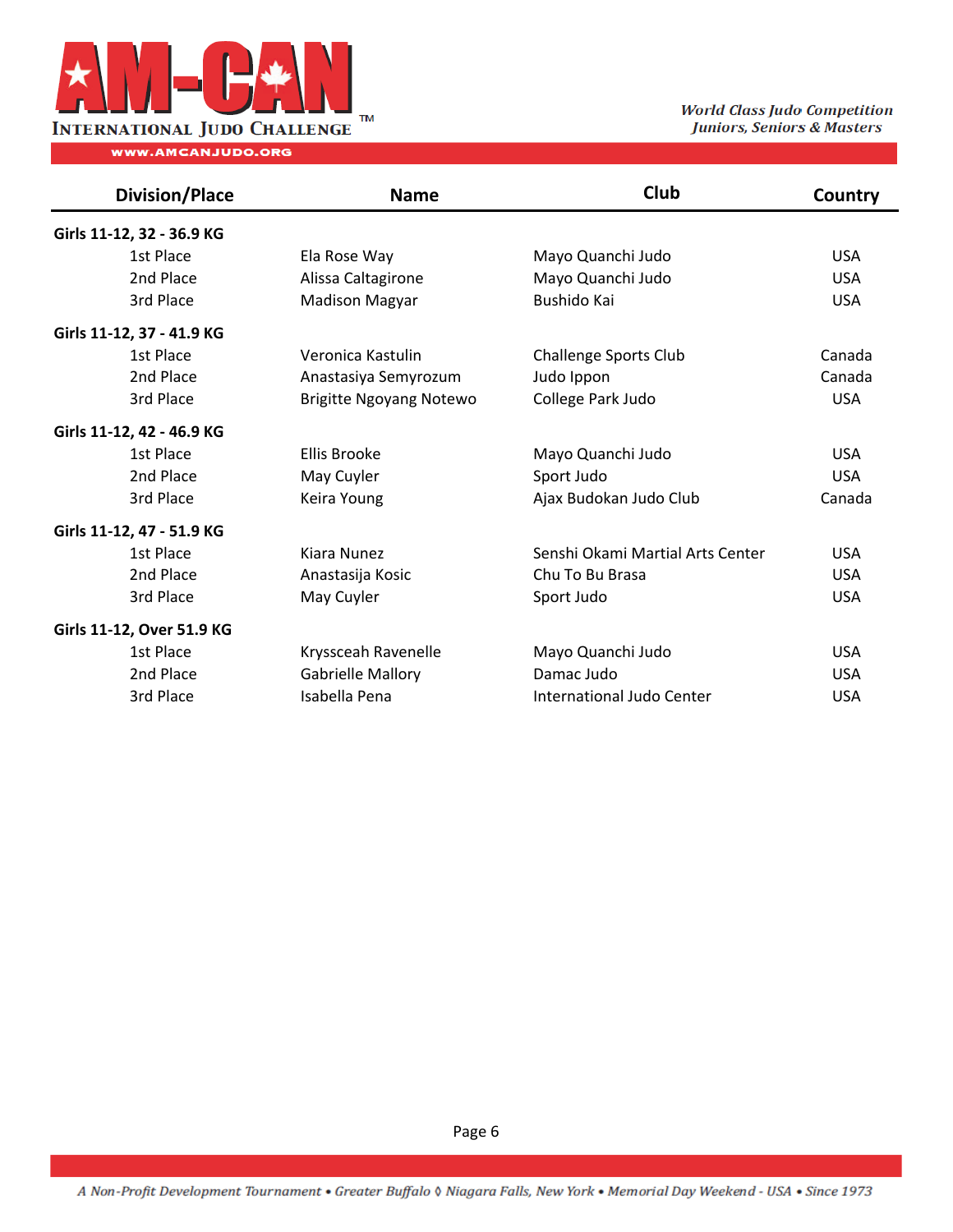

| <b>Division/Place</b>     | <b>Name</b>                    | Club                             | Country    |
|---------------------------|--------------------------------|----------------------------------|------------|
| Girls 11-12, 32 - 36.9 KG |                                |                                  |            |
| 1st Place                 | Ela Rose Way                   | Mayo Quanchi Judo                | <b>USA</b> |
| 2nd Place                 | Alissa Caltagirone             | Mayo Quanchi Judo                | <b>USA</b> |
| 3rd Place                 | <b>Madison Magyar</b>          | Bushido Kai                      | <b>USA</b> |
| Girls 11-12, 37 - 41.9 KG |                                |                                  |            |
| 1st Place                 | Veronica Kastulin              | <b>Challenge Sports Club</b>     | Canada     |
| 2nd Place                 | Anastasiya Semyrozum           | Judo Ippon                       | Canada     |
| 3rd Place                 | <b>Brigitte Ngoyang Notewo</b> | College Park Judo                | <b>USA</b> |
| Girls 11-12, 42 - 46.9 KG |                                |                                  |            |
| 1st Place                 | <b>Ellis Brooke</b>            | Mayo Quanchi Judo                | <b>USA</b> |
| 2nd Place                 | May Cuyler                     | Sport Judo                       | <b>USA</b> |
| 3rd Place                 | Keira Young                    | Ajax Budokan Judo Club           | Canada     |
| Girls 11-12, 47 - 51.9 KG |                                |                                  |            |
| 1st Place                 | Kiara Nunez                    | Senshi Okami Martial Arts Center | <b>USA</b> |
| 2nd Place                 | Anastasija Kosic               | Chu To Bu Brasa                  | <b>USA</b> |
| 3rd Place                 | May Cuyler                     | Sport Judo                       | <b>USA</b> |
| Girls 11-12, Over 51.9 KG |                                |                                  |            |
| 1st Place                 | Kryssceah Ravenelle            | Mayo Quanchi Judo                | <b>USA</b> |
| 2nd Place                 | Gabrielle Mallory              | Damac Judo                       | <b>USA</b> |
| 3rd Place                 | Isabella Pena                  | International Judo Center        | <b>USA</b> |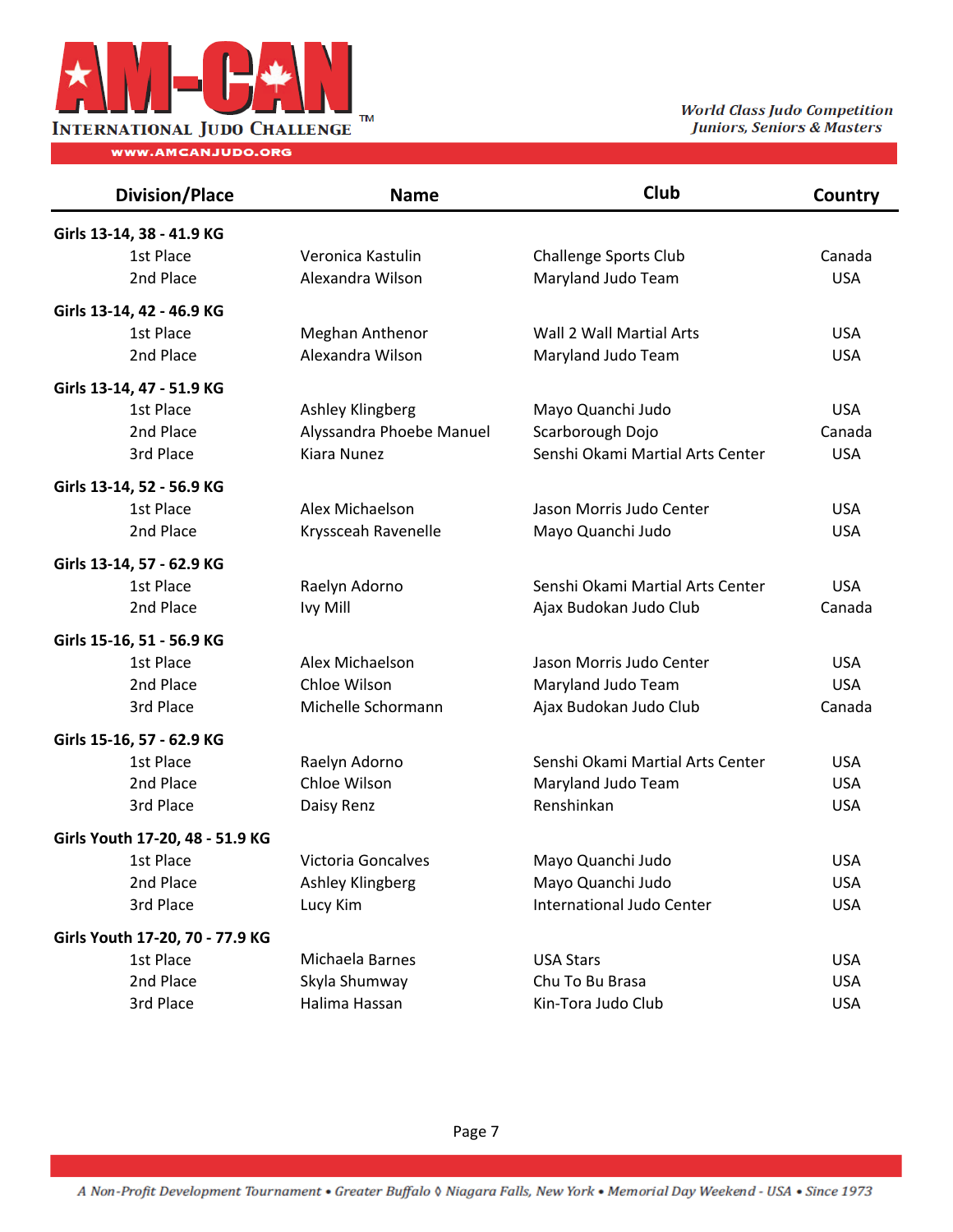

| <b>Division/Place</b>           | <b>Name</b>              | Club                             | Country    |
|---------------------------------|--------------------------|----------------------------------|------------|
| Girls 13-14, 38 - 41.9 KG       |                          |                                  |            |
| 1st Place                       | Veronica Kastulin        | <b>Challenge Sports Club</b>     | Canada     |
| 2nd Place                       | Alexandra Wilson         | Maryland Judo Team               | <b>USA</b> |
| Girls 13-14, 42 - 46.9 KG       |                          |                                  |            |
| 1st Place                       | Meghan Anthenor          | Wall 2 Wall Martial Arts         | <b>USA</b> |
| 2nd Place                       | Alexandra Wilson         | Maryland Judo Team               | <b>USA</b> |
| Girls 13-14, 47 - 51.9 KG       |                          |                                  |            |
| 1st Place                       | Ashley Klingberg         | Mayo Quanchi Judo                | <b>USA</b> |
| 2nd Place                       | Alyssandra Phoebe Manuel | Scarborough Dojo                 | Canada     |
| 3rd Place                       | Kiara Nunez              | Senshi Okami Martial Arts Center | <b>USA</b> |
| Girls 13-14, 52 - 56.9 KG       |                          |                                  |            |
| 1st Place                       | Alex Michaelson          | Jason Morris Judo Center         | <b>USA</b> |
| 2nd Place                       | Kryssceah Ravenelle      | Mayo Quanchi Judo                | <b>USA</b> |
| Girls 13-14, 57 - 62.9 KG       |                          |                                  |            |
| 1st Place                       | Raelyn Adorno            | Senshi Okami Martial Arts Center | <b>USA</b> |
| 2nd Place                       | Ivy Mill                 | Ajax Budokan Judo Club           | Canada     |
| Girls 15-16, 51 - 56.9 KG       |                          |                                  |            |
| 1st Place                       | Alex Michaelson          | Jason Morris Judo Center         | <b>USA</b> |
| 2nd Place                       | Chloe Wilson             | Maryland Judo Team               | <b>USA</b> |
| 3rd Place                       | Michelle Schormann       | Ajax Budokan Judo Club           | Canada     |
| Girls 15-16, 57 - 62.9 KG       |                          |                                  |            |
| 1st Place                       | Raelyn Adorno            | Senshi Okami Martial Arts Center | <b>USA</b> |
| 2nd Place                       | Chloe Wilson             | Maryland Judo Team               | <b>USA</b> |
| 3rd Place                       | Daisy Renz               | Renshinkan                       | <b>USA</b> |
| Girls Youth 17-20, 48 - 51.9 KG |                          |                                  |            |
| 1st Place                       | Victoria Goncalves       | Mayo Quanchi Judo                | <b>USA</b> |
| 2nd Place                       | Ashley Klingberg         | Mayo Quanchi Judo                | <b>USA</b> |
| 3rd Place                       | Lucy Kim                 | International Judo Center        | <b>USA</b> |
| Girls Youth 17-20, 70 - 77.9 KG |                          |                                  |            |
| 1st Place                       | Michaela Barnes          | <b>USA Stars</b>                 | <b>USA</b> |
| 2nd Place                       | Skyla Shumway            | Chu To Bu Brasa                  | <b>USA</b> |
| 3rd Place                       | Halima Hassan            | Kin-Tora Judo Club               | <b>USA</b> |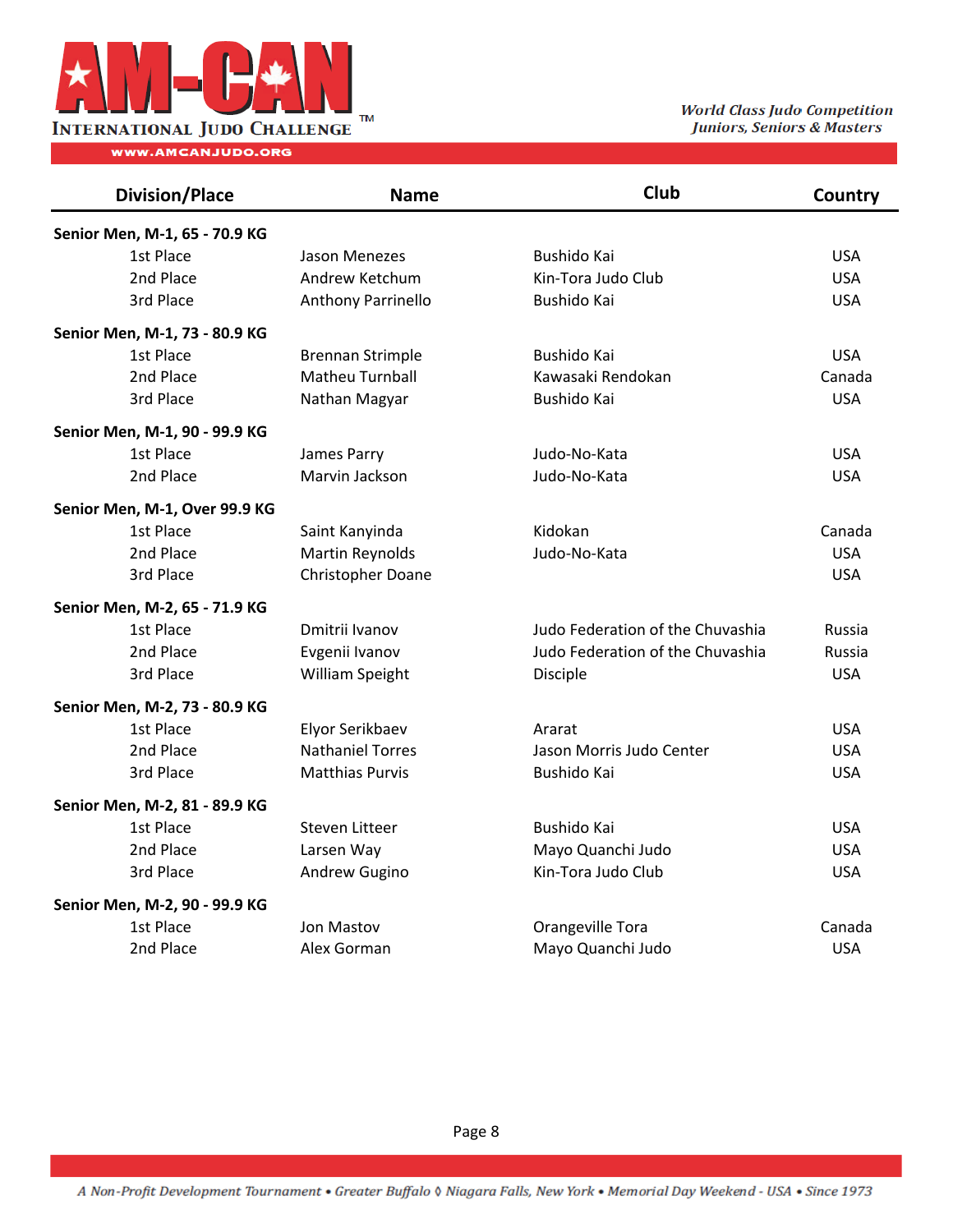

TM TM **THE CLASS THE CLASS THAT CLASS** Judo Competition Juniors, Seniors & Masters

| <b>Division/Place</b>         | <b>Name</b>             | Club                             | Country    |
|-------------------------------|-------------------------|----------------------------------|------------|
| Senior Men, M-1, 65 - 70.9 KG |                         |                                  |            |
| 1st Place                     | Jason Menezes           | Bushido Kai                      | <b>USA</b> |
| 2nd Place                     | Andrew Ketchum          | Kin-Tora Judo Club               | <b>USA</b> |
| 3rd Place                     | Anthony Parrinello      | Bushido Kai                      | <b>USA</b> |
| Senior Men, M-1, 73 - 80.9 KG |                         |                                  |            |
| 1st Place                     | <b>Brennan Strimple</b> | Bushido Kai                      | <b>USA</b> |
| 2nd Place                     | <b>Matheu Turnball</b>  | Kawasaki Rendokan                | Canada     |
| 3rd Place                     | Nathan Magyar           | Bushido Kai                      | <b>USA</b> |
| Senior Men, M-1, 90 - 99.9 KG |                         |                                  |            |
| 1st Place                     | James Parry             | Judo-No-Kata                     | <b>USA</b> |
| 2nd Place                     | Marvin Jackson          | Judo-No-Kata                     | <b>USA</b> |
| Senior Men, M-1, Over 99.9 KG |                         |                                  |            |
| 1st Place                     | Saint Kanyinda          | Kidokan                          | Canada     |
| 2nd Place                     | <b>Martin Reynolds</b>  | Judo-No-Kata                     | <b>USA</b> |
| 3rd Place                     | Christopher Doane       |                                  | <b>USA</b> |
| Senior Men, M-2, 65 - 71.9 KG |                         |                                  |            |
| 1st Place                     | Dmitrii Ivanov          | Judo Federation of the Chuvashia | Russia     |
| 2nd Place                     | Evgenii Ivanov          | Judo Federation of the Chuvashia | Russia     |
| 3rd Place                     | William Speight         | <b>Disciple</b>                  | <b>USA</b> |
| Senior Men, M-2, 73 - 80.9 KG |                         |                                  |            |
| 1st Place                     | Elyor Serikbaev         | Ararat                           | <b>USA</b> |
| 2nd Place                     | <b>Nathaniel Torres</b> | Jason Morris Judo Center         | <b>USA</b> |
| 3rd Place                     | <b>Matthias Purvis</b>  | Bushido Kai                      | <b>USA</b> |
| Senior Men, M-2, 81 - 89.9 KG |                         |                                  |            |
| 1st Place                     | Steven Litteer          | Bushido Kai                      | <b>USA</b> |
| 2nd Place                     | Larsen Way              | Mayo Quanchi Judo                | <b>USA</b> |
| 3rd Place                     | Andrew Gugino           | Kin-Tora Judo Club               | <b>USA</b> |
| Senior Men, M-2, 90 - 99.9 KG |                         |                                  |            |
| 1st Place                     | Jon Mastov              | Orangeville Tora                 | Canada     |
| 2nd Place                     | Alex Gorman             | Mayo Quanchi Judo                | <b>USA</b> |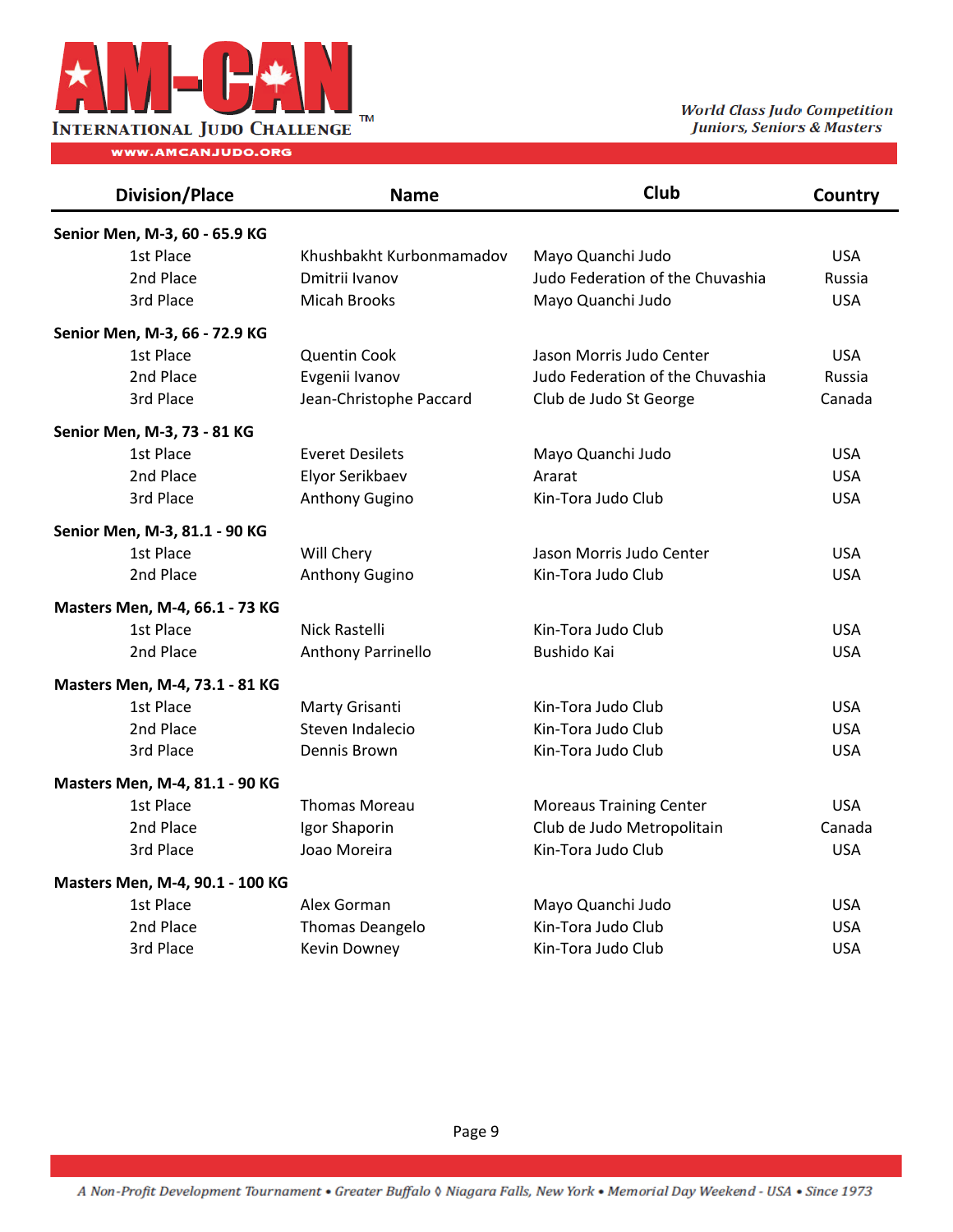

TM TM **THE CLASS THE CLASS THAT CLASS** Judo Competition Juniors, Seniors & Masters

| <b>Division/Place</b>           | <b>Name</b>              | Club                             | <b>Country</b> |
|---------------------------------|--------------------------|----------------------------------|----------------|
| Senior Men, M-3, 60 - 65.9 KG   |                          |                                  |                |
| 1st Place                       | Khushbakht Kurbonmamadov | Mayo Quanchi Judo                | <b>USA</b>     |
| 2nd Place                       | Dmitrii Ivanov           | Judo Federation of the Chuvashia | Russia         |
| 3rd Place                       | <b>Micah Brooks</b>      | Mayo Quanchi Judo                | <b>USA</b>     |
| Senior Men, M-3, 66 - 72.9 KG   |                          |                                  |                |
| 1st Place                       | <b>Quentin Cook</b>      | Jason Morris Judo Center         | <b>USA</b>     |
| 2nd Place                       | Evgenii Ivanov           | Judo Federation of the Chuvashia | Russia         |
| 3rd Place                       | Jean-Christophe Paccard  | Club de Judo St George           | Canada         |
| Senior Men, M-3, 73 - 81 KG     |                          |                                  |                |
| 1st Place                       | <b>Everet Desilets</b>   | Mayo Quanchi Judo                | <b>USA</b>     |
| 2nd Place                       | Elyor Serikbaev          | Ararat                           | <b>USA</b>     |
| 3rd Place                       | Anthony Gugino           | Kin-Tora Judo Club               | <b>USA</b>     |
| Senior Men, M-3, 81.1 - 90 KG   |                          |                                  |                |
| 1st Place                       | Will Chery               | Jason Morris Judo Center         | <b>USA</b>     |
| 2nd Place                       | Anthony Gugino           | Kin-Tora Judo Club               | <b>USA</b>     |
| Masters Men, M-4, 66.1 - 73 KG  |                          |                                  |                |
| 1st Place                       | Nick Rastelli            | Kin-Tora Judo Club               | <b>USA</b>     |
| 2nd Place                       | Anthony Parrinello       | Bushido Kai                      | <b>USA</b>     |
| Masters Men, M-4, 73.1 - 81 KG  |                          |                                  |                |
| 1st Place                       | Marty Grisanti           | Kin-Tora Judo Club               | <b>USA</b>     |
| 2nd Place                       | Steven Indalecio         | Kin-Tora Judo Club               | <b>USA</b>     |
| 3rd Place                       | Dennis Brown             | Kin-Tora Judo Club               | <b>USA</b>     |
| Masters Men, M-4, 81.1 - 90 KG  |                          |                                  |                |
| 1st Place                       | <b>Thomas Moreau</b>     | <b>Moreaus Training Center</b>   | <b>USA</b>     |
| 2nd Place                       | Igor Shaporin            | Club de Judo Metropolitain       | Canada         |
| 3rd Place                       | Joao Moreira             | Kin-Tora Judo Club               | <b>USA</b>     |
| Masters Men, M-4, 90.1 - 100 KG |                          |                                  |                |
| 1st Place                       | Alex Gorman              | Mayo Quanchi Judo                | <b>USA</b>     |
| 2nd Place                       | Thomas Deangelo          | Kin-Tora Judo Club               | <b>USA</b>     |
| 3rd Place                       | Kevin Downey             | Kin-Tora Judo Club               | <b>USA</b>     |